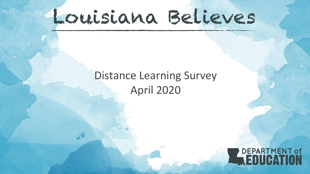# Louisiana Believes

## Distance Learning Survey April 2020

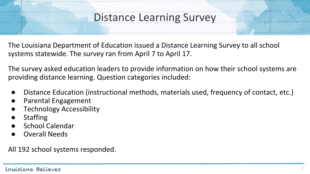### Distance Learning Survey

The Louisiana Department of Education issued a Distance Learning Survey to all school systems statewide. The survey ran from April 7 to April 17.

The survey asked education leaders to provide information on how their school systems are providing distance learning. Question categories included:

- Distance Education (instructional methods, materials used, frequency of contact, etc.)
- Parental Engagement
- **Technology Accessibility**
- **Staffing**
- School Calendar
- **Overall Needs**

All 192 school systems responded.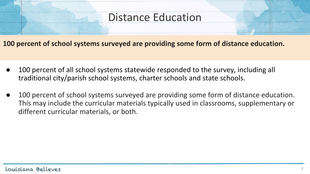#### Distance Education

**100 percent of school systems surveyed are providing some form of distance education.** 

- 100 percent of all school systems statewide responded to the survey, including all traditional city/parish school systems, charter schools and state schools.
- 100 percent of school systems surveyed are providing some form of distance education. This may include the curricular materials typically used in classrooms, supplementary or different curricular materials, or both.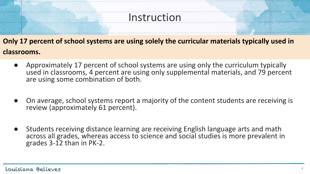#### **Instruction**

**Only 17 percent of school systems are using solely the curricular materials typically used in classrooms.** 

- Approximately 17 percent of school systems are using only the curriculum typically used in classrooms, 4 percent are using only supplemental materials, and 79 percent are using some combination of both.
- On average, school systems report a majority of the content students are receiving is review (approximately 61 percent).
- Students receiving distance learning are receiving English language arts and math across all grades, whereas access to science and social studies is more prevalent in grades 3-12 than in PK-2.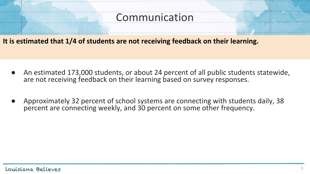#### Communication

**It is estimated that 1/4 of students are not receiving feedback on their learning.**

- An estimated 173,000 students, or about 24 percent of all public students statewide, are not receiving feedback on their learning based on survey responses.
- Approximately 32 percent of school systems are connecting with students daily, 38 percent are connecting weekly, and 30 percent on some other frequency.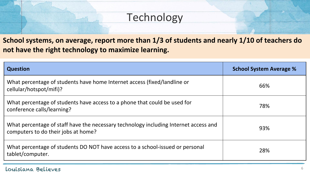#### **Technology**

**School systems, on average, report more than 1/3 of students and nearly 1/10 of teachers do not have the right technology to maximize learning.**

| <b>Question</b>                                                                                                             | <b>School System Average %</b> |
|-----------------------------------------------------------------------------------------------------------------------------|--------------------------------|
| What percentage of students have home Internet access (fixed/landline or<br>cellular/hotspot/mifi)?                         | 66%                            |
| What percentage of students have access to a phone that could be used for<br>conference calls/learning?                     | 78%                            |
| What percentage of staff have the necessary technology including Internet access and<br>computers to do their jobs at home? | 93%                            |
| What percentage of students DO NOT have access to a school-issued or personal<br>tablet/computer.                           | 28%                            |

#### Louisiana Believes